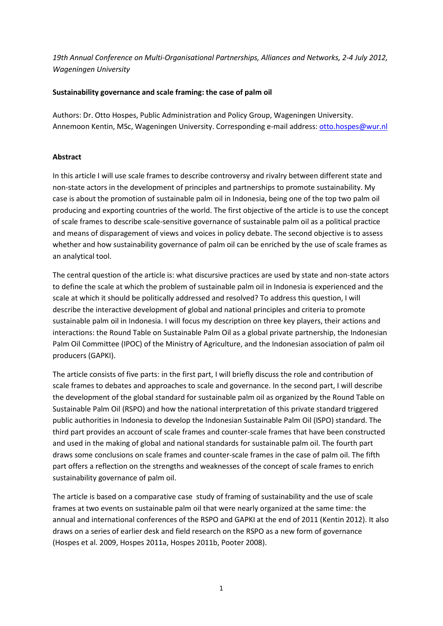*19th Annual Conference on Multi-Organisational Partnerships, Alliances and Networks, 2-4 July 2012, Wageningen University*

## **Sustainability governance and scale framing: the case of palm oil**

Authors: Dr. Otto Hospes, Public Administration and Policy Group, Wageningen University. Annemoon Kentin, MSc, Wageningen University. Corresponding e-mail address: [otto.hospes@wur.nl](mailto:otto.hospes@wur.nl)

## **Abstract**

In this article I will use scale frames to describe controversy and rivalry between different state and non-state actors in the development of principles and partnerships to promote sustainability. My case is about the promotion of sustainable palm oil in Indonesia, being one of the top two palm oil producing and exporting countries of the world. The first objective of the article is to use the concept of scale frames to describe scale-sensitive governance of sustainable palm oil as a political practice and means of disparagement of views and voices in policy debate. The second objective is to assess whether and how sustainability governance of palm oil can be enriched by the use of scale frames as an analytical tool.

The central question of the article is: what discursive practices are used by state and non-state actors to define the scale at which the problem of sustainable palm oil in Indonesia is experienced and the scale at which it should be politically addressed and resolved? To address this question, I will describe the interactive development of global and national principles and criteria to promote sustainable palm oil in Indonesia. I will focus my description on three key players, their actions and interactions: the Round Table on Sustainable Palm Oil as a global private partnership, the Indonesian Palm Oil Committee (IPOC) of the Ministry of Agriculture, and the Indonesian association of palm oil producers (GAPKI).

The article consists of five parts: in the first part, I will briefly discuss the role and contribution of scale frames to debates and approaches to scale and governance. In the second part, I will describe the development of the global standard for sustainable palm oil as organized by the Round Table on Sustainable Palm Oil (RSPO) and how the national interpretation of this private standard triggered public authorities in Indonesia to develop the Indonesian Sustainable Palm Oil (ISPO) standard. The third part provides an account of scale frames and counter-scale frames that have been constructed and used in the making of global and national standards for sustainable palm oil. The fourth part draws some conclusions on scale frames and counter-scale frames in the case of palm oil. The fifth part offers a reflection on the strengths and weaknesses of the concept of scale frames to enrich sustainability governance of palm oil.

The article is based on a comparative case study of framing of sustainability and the use of scale frames at two events on sustainable palm oil that were nearly organized at the same time: the annual and international conferences of the RSPO and GAPKI at the end of 2011 (Kentin 2012). It also draws on a series of earlier desk and field research on the RSPO as a new form of governance (Hospes et al. 2009, Hospes 2011a, Hospes 2011b, Pooter 2008).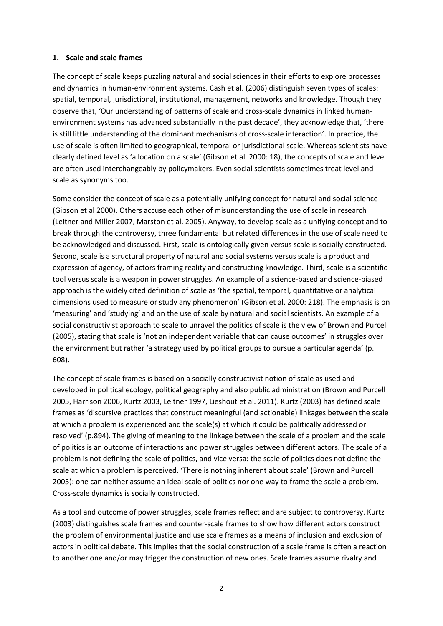#### **1. Scale and scale frames**

The concept of scale keeps puzzling natural and social sciences in their efforts to explore processes and dynamics in human-environment systems. Cash et al. (2006) distinguish seven types of scales: spatial, temporal, jurisdictional, institutional, management, networks and knowledge. Though they observe that, 'Our understanding of patterns of scale and cross-scale dynamics in linked humanenvironment systems has advanced substantially in the past decade', they acknowledge that, 'there is still little understanding of the dominant mechanisms of cross-scale interaction'. In practice, the use of scale is often limited to geographical, temporal or jurisdictional scale. Whereas scientists have clearly defined level as 'a location on a scale' (Gibson et al. 2000: 18), the concepts of scale and level are often used interchangeably by policymakers. Even social scientists sometimes treat level and scale as synonyms too.

Some consider the concept of scale as a potentially unifying concept for natural and social science (Gibson et al 2000). Others accuse each other of misunderstanding the use of scale in research (Leitner and Miller 2007, Marston et al. 2005). Anyway, to develop scale as a unifying concept and to break through the controversy, three fundamental but related differences in the use of scale need to be acknowledged and discussed. First, scale is ontologically given versus scale is socially constructed. Second, scale is a structural property of natural and social systems versus scale is a product and expression of agency, of actors framing reality and constructing knowledge. Third, scale is a scientific tool versus scale is a weapon in power struggles. An example of a science-based and science-biased approach is the widely cited definition of scale as 'the spatial, temporal, quantitative or analytical dimensions used to measure or study any phenomenon' (Gibson et al. 2000: 218). The emphasis is on 'measuring' and 'studying' and on the use of scale by natural and social scientists. An example of a social constructivist approach to scale to unravel the politics of scale is the view of Brown and Purcell (2005), stating that scale is 'not an independent variable that can cause outcomes' in struggles over the environment but rather 'a strategy used by political groups to pursue a particular agenda' (p. 608).

The concept of scale frames is based on a socially constructivist notion of scale as used and developed in political ecology, political geography and also public administration (Brown and Purcell 2005, Harrison 2006, Kurtz 2003, Leitner 1997, Lieshout et al. 2011). Kurtz (2003) has defined scale frames as 'discursive practices that construct meaningful (and actionable) linkages between the scale at which a problem is experienced and the scale(s) at which it could be politically addressed or resolved' (p.894). The giving of meaning to the linkage between the scale of a problem and the scale of politics is an outcome of interactions and power struggles between different actors. The scale of a problem is not defining the scale of politics, and vice versa: the scale of politics does not define the scale at which a problem is perceived. 'There is nothing inherent about scale' (Brown and Purcell 2005): one can neither assume an ideal scale of politics nor one way to frame the scale a problem. Cross-scale dynamics is socially constructed.

As a tool and outcome of power struggles, scale frames reflect and are subject to controversy. Kurtz (2003) distinguishes scale frames and counter-scale frames to show how different actors construct the problem of environmental justice and use scale frames as a means of inclusion and exclusion of actors in political debate. This implies that the social construction of a scale frame is often a reaction to another one and/or may trigger the construction of new ones. Scale frames assume rivalry and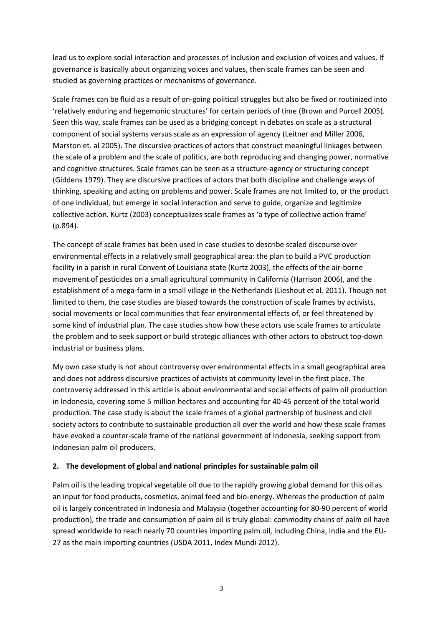lead us to explore social interaction and processes of inclusion and exclusion of voices and values. If governance is basically about organizing voices and values, then scale frames can be seen and studied as governing practices or mechanisms of governance.

Scale frames can be fluid as a result of on-going political struggles but also be fixed or routinized into 'relatively enduring and hegemonic structures' for certain periods of time (Brown and Purcell 2005). Seen this way, scale frames can be used as a bridging concept in debates on scale as a structural component of social systems versus scale as an expression of agency (Leitner and Miller 2006, Marston et. al 2005). The discursive practices of actors that construct meaningful linkages between the scale of a problem and the scale of politics, are both reproducing and changing power, normative and cognitive structures. Scale frames can be seen as a structure-agency or structuring concept (Giddens 1979). They are discursive practices of actors that both discipline and challenge ways of thinking, speaking and acting on problems and power. Scale frames are not limited to, or the product of one individual, but emerge in social interaction and serve to guide, organize and legitimize collective action. Kurtz (2003) conceptualizes scale frames as 'a type of collective action frame' (p.894).

The concept of scale frames has been used in case studies to describe scaled discourse over environmental effects in a relatively small geographical area: the plan to build a PVC production facility in a parish in rural Convent of Louisiana state (Kurtz 2003), the effects of the air-borne movement of pesticides on a small agricultural community in California (Harrison 2006), and the establishment of a mega-farm in a small village in the Netherlands (Lieshout et al. 2011). Though not limited to them, the case studies are biased towards the construction of scale frames by activists, social movements or local communities that fear environmental effects of, or feel threatened by some kind of industrial plan. The case studies show how these actors use scale frames to articulate the problem and to seek support or build strategic alliances with other actors to obstruct top-down industrial or business plans.

My own case study is not about controversy over environmental effects in a small geographical area and does not address discursive practices of activists at community level in the first place. The controversy addressed in this article is about environmental and social effects of palm oil production in Indonesia, covering some 5 million hectares and accounting for 40-45 percent of the total world production. The case study is about the scale frames of a global partnership of business and civil society actors to contribute to sustainable production all over the world and how these scale frames have evoked a counter-scale frame of the national government of Indonesia, seeking support from Indonesian palm oil producers.

# **2. The development of global and national principles for sustainable palm oil**

Palm oil is the leading tropical vegetable oil due to the rapidly growing global demand for this oil as an input for food products, cosmetics, animal feed and bio-energy. Whereas the production of palm oil is largely concentrated in Indonesia and Malaysia (together accounting for 80-90 percent of world production), the trade and consumption of palm oil is truly global: commodity chains of palm oil have spread worldwide to reach nearly 70 countries importing palm oil, including China, India and the EU-27 as the main importing countries (USDA 2011, Index Mundi 2012).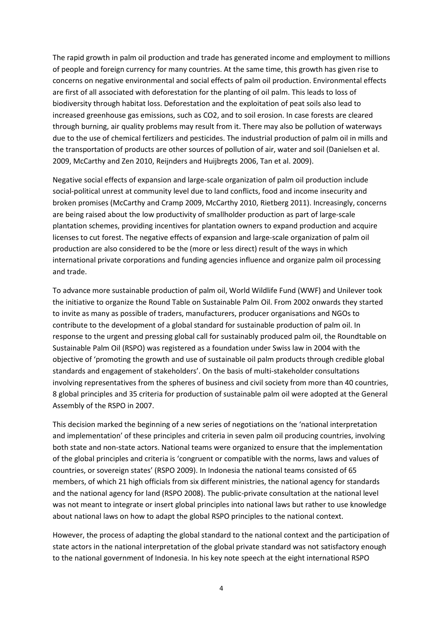The rapid growth in palm oil production and trade has generated income and employment to millions of people and foreign currency for many countries. At the same time, this growth has given rise to concerns on negative environmental and social effects of palm oil production. Environmental effects are first of all associated with deforestation for the planting of oil palm. This leads to loss of biodiversity through habitat loss. Deforestation and the exploitation of peat soils also lead to increased greenhouse gas emissions, such as CO2, and to soil erosion. In case forests are cleared through burning, air quality problems may result from it. There may also be pollution of waterways due to the use of chemical fertilizers and pesticides. The industrial production of palm oil in mills and the transportation of products are other sources of pollution of air, water and soil (Danielsen et al. 2009, McCarthy and Zen 2010, Reijnders and Huijbregts 2006, Tan et al. 2009).

Negative social effects of expansion and large-scale organization of palm oil production include social-political unrest at community level due to land conflicts, food and income insecurity and broken promises (McCarthy and Cramp 2009, McCarthy 2010, Rietberg 2011). Increasingly, concerns are being raised about the low productivity of smallholder production as part of large-scale plantation schemes, providing incentives for plantation owners to expand production and acquire licenses to cut forest. The negative effects of expansion and large-scale organization of palm oil production are also considered to be the (more or less direct) result of the ways in which international private corporations and funding agencies influence and organize palm oil processing and trade.

To advance more sustainable production of palm oil, World Wildlife Fund (WWF) and Unilever took the initiative to organize the Round Table on Sustainable Palm Oil. From 2002 onwards they started to invite as many as possible of traders, manufacturers, producer organisations and NGOs to contribute to the development of a global standard for sustainable production of palm oil. In response to the urgent and pressing global call for sustainably produced palm oil, the Roundtable on Sustainable Palm Oil (RSPO) was registered as a foundation under Swiss law in 2004 with the objective of 'promoting the growth and use of sustainable oil palm products through credible global standards and engagement of stakeholders'. On the basis of multi-stakeholder consultations involving representatives from the spheres of business and civil society from more than 40 countries, 8 global principles and 35 criteria for production of sustainable palm oil were adopted at the General Assembly of the RSPO in 2007.

This decision marked the beginning of a new series of negotiations on the 'national interpretation and implementation' of these principles and criteria in seven palm oil producing countries, involving both state and non-state actors. National teams were organized to ensure that the implementation of the global principles and criteria is 'congruent or compatible with the norms, laws and values of countries, or sovereign states' (RSPO 2009). In Indonesia the national teams consisted of 65 members, of which 21 high officials from six different ministries, the national agency for standards and the national agency for land (RSPO 2008). The public-private consultation at the national level was not meant to integrate or insert global principles into national laws but rather to use knowledge about national laws on how to adapt the global RSPO principles to the national context.

However, the process of adapting the global standard to the national context and the participation of state actors in the national interpretation of the global private standard was not satisfactory enough to the national government of Indonesia. In his key note speech at the eight international RSPO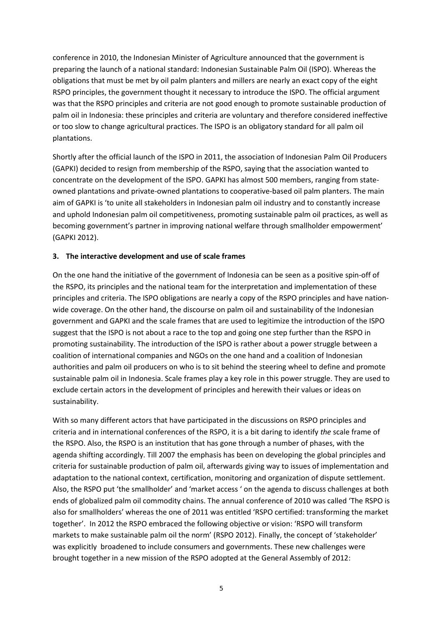conference in 2010, the Indonesian Minister of Agriculture announced that the government is preparing the launch of a national standard: Indonesian Sustainable Palm Oil (ISPO). Whereas the obligations that must be met by oil palm planters and millers are nearly an exact copy of the eight RSPO principles, the government thought it necessary to introduce the ISPO. The official argument was that the RSPO principles and criteria are not good enough to promote sustainable production of palm oil in Indonesia: these principles and criteria are voluntary and therefore considered ineffective or too slow to change agricultural practices. The ISPO is an obligatory standard for all palm oil plantations.

Shortly after the official launch of the ISPO in 2011, the association of Indonesian Palm Oil Producers (GAPKI) decided to resign from membership of the RSPO, saying that the association wanted to concentrate on the development of the ISPO. GAPKI has almost 500 members, ranging from stateowned plantations and private-owned plantations to cooperative-based oil palm planters. The main aim of GAPKI is 'to unite all stakeholders in Indonesian palm oil industry and to constantly increase and uphold Indonesian palm oil competitiveness, promoting sustainable palm oil practices, as well as becoming government's partner in improving national welfare through smallholder empowerment' (GAPKI 2012).

## **3. The interactive development and use of scale frames**

On the one hand the initiative of the government of Indonesia can be seen as a positive spin-off of the RSPO, its principles and the national team for the interpretation and implementation of these principles and criteria. The ISPO obligations are nearly a copy of the RSPO principles and have nationwide coverage. On the other hand, the discourse on palm oil and sustainability of the Indonesian government and GAPKI and the scale frames that are used to legitimize the introduction of the ISPO suggest that the ISPO is not about a race to the top and going one step further than the RSPO in promoting sustainability. The introduction of the ISPO is rather about a power struggle between a coalition of international companies and NGOs on the one hand and a coalition of Indonesian authorities and palm oil producers on who is to sit behind the steering wheel to define and promote sustainable palm oil in Indonesia. Scale frames play a key role in this power struggle. They are used to exclude certain actors in the development of principles and herewith their values or ideas on sustainability.

With so many different actors that have participated in the discussions on RSPO principles and criteria and in international conferences of the RSPO, it is a bit daring to identify *the* scale frame of the RSPO. Also, the RSPO is an institution that has gone through a number of phases, with the agenda shifting accordingly. Till 2007 the emphasis has been on developing the global principles and criteria for sustainable production of palm oil, afterwards giving way to issues of implementation and adaptation to the national context, certification, monitoring and organization of dispute settlement. Also, the RSPO put 'the smallholder' and 'market access ' on the agenda to discuss challenges at both ends of globalized palm oil commodity chains. The annual conference of 2010 was called 'The RSPO is also for smallholders' whereas the one of 2011 was entitled 'RSPO certified: transforming the market together'. In 2012 the RSPO embraced the following objective or vision: 'RSPO will transform markets to make sustainable palm oil the norm' (RSPO 2012). Finally, the concept of 'stakeholder' was explicitly broadened to include consumers and governments. These new challenges were brought together in a new mission of the RSPO adopted at the General Assembly of 2012: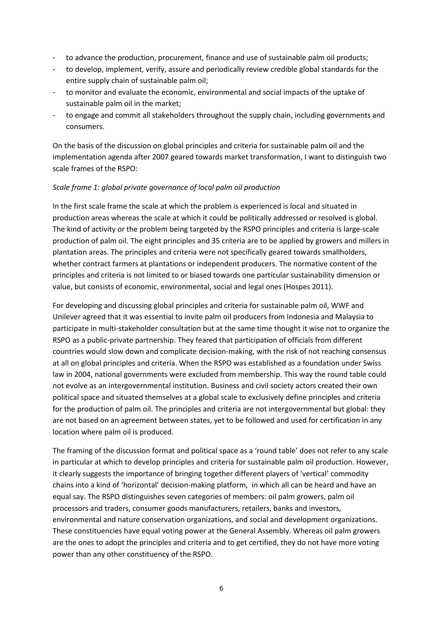- to advance the production, procurement, finance and use of sustainable palm oil products;
- to develop, implement, verify, assure and periodically review credible global standards for the entire supply chain of sustainable palm oil;
- to monitor and evaluate the economic, environmental and social impacts of the uptake of sustainable palm oil in the market;
- to engage and commit all stakeholders throughout the supply chain, including governments and consumers.

On the basis of the discussion on global principles and criteria for sustainable palm oil and the implementation agenda after 2007 geared towards market transformation, I want to distinguish two scale frames of the RSPO:

## *Scale frame 1: global private governance of local palm oil production*

In the first scale frame the scale at which the problem is experienced is local and situated in production areas whereas the scale at which it could be politically addressed or resolved is global. The kind of activity or the problem being targeted by the RSPO principles and criteria is large-scale production of palm oil. The eight principles and 35 criteria are to be applied by growers and millers in plantation areas. The principles and criteria were not specifically geared towards smallholders, whether contract farmers at plantations or independent producers. The normative content of the principles and criteria is not limited to or biased towards one particular sustainability dimension or value, but consists of economic, environmental, social and legal ones (Hospes 2011).

For developing and discussing global principles and criteria for sustainable palm oil, WWF and Unilever agreed that it was essential to invite palm oil producers from Indonesia and Malaysia to participate in multi-stakeholder consultation but at the same time thought it wise not to organize the RSPO as a public-private partnership. They feared that participation of officials from different countries would slow down and complicate decision-making, with the risk of not reaching consensus at all on global principles and criteria. When the RSPO was established as a foundation under Swiss law in 2004, national governments were excluded from membership. This way the round table could not evolve as an intergovernmental institution. Business and civil society actors created their own political space and situated themselves at a global scale to exclusively define principles and criteria for the production of palm oil. The principles and criteria are not intergovernmental but global: they are not based on an agreement between states, yet to be followed and used for certification in any location where palm oil is produced.

The framing of the discussion format and political space as a 'round table' does not refer to any scale in particular at which to develop principles and criteria for sustainable palm oil production. However, it clearly suggests the importance of bringing together different players of 'vertical' commodity chains into a kind of 'horizontal' decision-making platform, in which all can be heard and have an equal say. The RSPO distinguishes seven categories of members: oil palm growers, palm oil processors and traders, consumer goods manufacturers, retailers, banks and investors, environmental and nature conservation organizations, and social and development organizations. These constituencies have equal voting power at the General Assembly. Whereas oil palm growers are the ones to adopt the principles and criteria and to get certified, they do not have more voting power than any other constituency of the RSPO.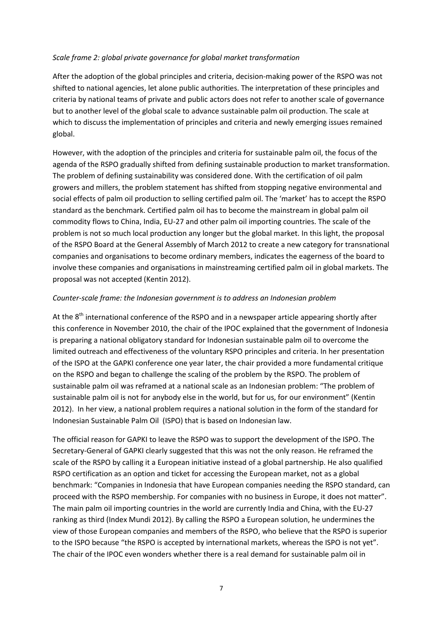## *Scale frame 2: global private governance for global market transformation*

After the adoption of the global principles and criteria, decision-making power of the RSPO was not shifted to national agencies, let alone public authorities. The interpretation of these principles and criteria by national teams of private and public actors does not refer to another scale of governance but to another level of the global scale to advance sustainable palm oil production. The scale at which to discuss the implementation of principles and criteria and newly emerging issues remained global.

However, with the adoption of the principles and criteria for sustainable palm oil, the focus of the agenda of the RSPO gradually shifted from defining sustainable production to market transformation. The problem of defining sustainability was considered done. With the certification of oil palm growers and millers, the problem statement has shifted from stopping negative environmental and social effects of palm oil production to selling certified palm oil. The 'market' has to accept the RSPO standard as the benchmark. Certified palm oil has to become the mainstream in global palm oil commodity flows to China, India, EU-27 and other palm oil importing countries. The scale of the problem is not so much local production any longer but the global market. In this light, the proposal of the RSPO Board at the General Assembly of March 2012 to create a new category for transnational companies and organisations to become ordinary members, indicates the eagerness of the board to involve these companies and organisations in mainstreaming certified palm oil in global markets. The proposal was not accepted (Kentin 2012).

#### *Counter-scale frame: the Indonesian government is to address an Indonesian problem*

At the  $8<sup>th</sup>$  international conference of the RSPO and in a newspaper article appearing shortly after this conference in November 2010, the chair of the IPOC explained that the government of Indonesia is preparing a national obligatory standard for Indonesian sustainable palm oil to overcome the limited outreach and effectiveness of the voluntary RSPO principles and criteria. In her presentation of the ISPO at the GAPKI conference one year later, the chair provided a more fundamental critique on the RSPO and began to challenge the scaling of the problem by the RSPO. The problem of sustainable palm oil was reframed at a national scale as an Indonesian problem: "The problem of sustainable palm oil is not for anybody else in the world, but for us, for our environment" (Kentin 2012). In her view, a national problem requires a national solution in the form of the standard for Indonesian Sustainable Palm Oil (ISPO) that is based on Indonesian law.

The official reason for GAPKI to leave the RSPO was to support the development of the ISPO. The Secretary-General of GAPKI clearly suggested that this was not the only reason. He reframed the scale of the RSPO by calling it a European initiative instead of a global partnership. He also qualified RSPO certification as an option and ticket for accessing the European market, not as a global benchmark: "Companies in Indonesia that have European companies needing the RSPO standard, can proceed with the RSPO membership. For companies with no business in Europe, it does not matter". The main palm oil importing countries in the world are currently India and China, with the EU-27 ranking as third (Index Mundi 2012). By calling the RSPO a European solution, he undermines the view of those European companies and members of the RSPO, who believe that the RSPO is superior to the ISPO because "the RSPO is accepted by international markets, whereas the ISPO is not yet". The chair of the IPOC even wonders whether there is a real demand for sustainable palm oil in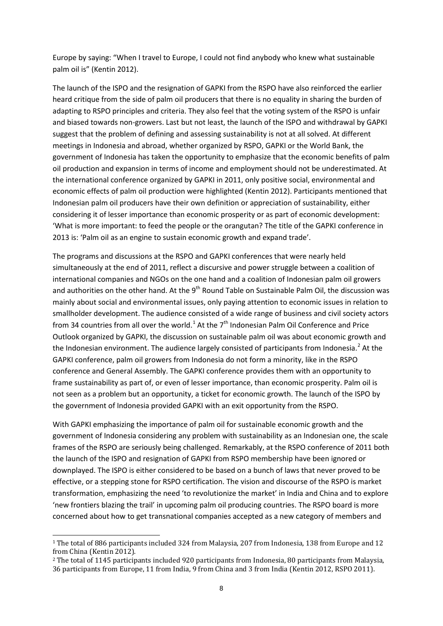Europe by saying: "When I travel to Europe, I could not find anybody who knew what sustainable palm oil is" (Kentin 2012).

The launch of the ISPO and the resignation of GAPKI from the RSPO have also reinforced the earlier heard critique from the side of palm oil producers that there is no equality in sharing the burden of adapting to RSPO principles and criteria. They also feel that the voting system of the RSPO is unfair and biased towards non-growers. Last but not least, the launch of the ISPO and withdrawal by GAPKI suggest that the problem of defining and assessing sustainability is not at all solved. At different meetings in Indonesia and abroad, whether organized by RSPO, GAPKI or the World Bank, the government of Indonesia has taken the opportunity to emphasize that the economic benefits of palm oil production and expansion in terms of income and employment should not be underestimated. At the international conference organized by GAPKI in 2011, only positive social, environmental and economic effects of palm oil production were highlighted (Kentin 2012). Participants mentioned that Indonesian palm oil producers have their own definition or appreciation of sustainability, either considering it of lesser importance than economic prosperity or as part of economic development: 'What is more important: to feed the people or the orangutan? The title of the GAPKI conference in 2013 is: 'Palm oil as an engine to sustain economic growth and expand trade'.

The programs and discussions at the RSPO and GAPKI conferences that were nearly held simultaneously at the end of 2011, reflect a discursive and power struggle between a coalition of international companies and NGOs on the one hand and a coalition of Indonesian palm oil growers and authorities on the other hand. At the  $9<sup>th</sup>$  Round Table on Sustainable Palm Oil, the discussion was mainly about social and environmental issues, only paying attention to economic issues in relation to smallholder development. The audience consisted of a wide range of business and civil society actors from 34 countries from all over the world.<sup>[1](#page-7-0)</sup> At the 7<sup>th</sup> Indonesian Palm Oil Conference and Price Outlook organized by GAPKI, the discussion on sustainable palm oil was about economic growth and the Indonesian environment. The audience largely consisted of participants from Indonesia.<sup>[2](#page-7-1)</sup> At the GAPKI conference, palm oil growers from Indonesia do not form a minority, like in the RSPO conference and General Assembly. The GAPKI conference provides them with an opportunity to frame sustainability as part of, or even of lesser importance, than economic prosperity. Palm oil is not seen as a problem but an opportunity, a ticket for economic growth. The launch of the ISPO by the government of Indonesia provided GAPKI with an exit opportunity from the RSPO.

With GAPKI emphasizing the importance of palm oil for sustainable economic growth and the government of Indonesia considering any problem with sustainability as an Indonesian one, the scale frames of the RSPO are seriously being challenged. Remarkably, at the RSPO conference of 2011 both the launch of the ISPO and resignation of GAPKI from RSPO membership have been ignored or downplayed. The ISPO is either considered to be based on a bunch of laws that never proved to be effective, or a stepping stone for RSPO certification. The vision and discourse of the RSPO is market transformation, emphasizing the need 'to revolutionize the market' in India and China and to explore 'new frontiers blazing the trail' in upcoming palm oil producing countries. The RSPO board is more concerned about how to get transnational companies accepted as a new category of members and

j

<span id="page-7-0"></span><sup>1</sup> The total of 886 participants included 324 from Malaysia, 207 from Indonesia, 138 from Europe and 12 from China (Kentin 2012).

<span id="page-7-1"></span><sup>2</sup> The total of 1145 participants included 920 participants from Indonesia, 80 participants from Malaysia, 36 participants from Europe, 11 from India, 9 from China and 3 from India (Kentin 2012, RSPO 2011).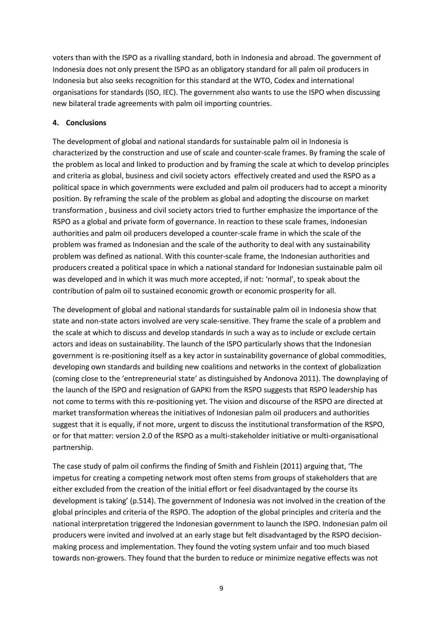voters than with the ISPO as a rivalling standard, both in Indonesia and abroad. The government of Indonesia does not only present the ISPO as an obligatory standard for all palm oil producers in Indonesia but also seeks recognition for this standard at the WTO, Codex and international organisations for standards (ISO, IEC). The government also wants to use the ISPO when discussing new bilateral trade agreements with palm oil importing countries.

# **4. Conclusions**

The development of global and national standards for sustainable palm oil in Indonesia is characterized by the construction and use of scale and counter-scale frames. By framing the scale of the problem as local and linked to production and by framing the scale at which to develop principles and criteria as global, business and civil society actors effectively created and used the RSPO as a political space in which governments were excluded and palm oil producers had to accept a minority position. By reframing the scale of the problem as global and adopting the discourse on market transformation , business and civil society actors tried to further emphasize the importance of the RSPO as a global and private form of governance. In reaction to these scale frames, Indonesian authorities and palm oil producers developed a counter-scale frame in which the scale of the problem was framed as Indonesian and the scale of the authority to deal with any sustainability problem was defined as national. With this counter-scale frame, the Indonesian authorities and producers created a political space in which a national standard for Indonesian sustainable palm oil was developed and in which it was much more accepted, if not: 'normal', to speak about the contribution of palm oil to sustained economic growth or economic prosperity for all.

The development of global and national standards for sustainable palm oil in Indonesia show that state and non-state actors involved are very scale-sensitive. They frame the scale of a problem and the scale at which to discuss and develop standards in such a way as to include or exclude certain actors and ideas on sustainability. The launch of the ISPO particularly shows that the Indonesian government is re-positioning itself as a key actor in sustainability governance of global commodities, developing own standards and building new coalitions and networks in the context of globalization (coming close to the 'entrepreneurial state' as distinguished by Andonova 2011). The downplaying of the launch of the ISPO and resignation of GAPKI from the RSPO suggests that RSPO leadership has not come to terms with this re-positioning yet. The vision and discourse of the RSPO are directed at market transformation whereas the initiatives of Indonesian palm oil producers and authorities suggest that it is equally, if not more, urgent to discuss the institutional transformation of the RSPO, or for that matter: version 2.0 of the RSPO as a multi-stakeholder initiative or multi-organisational partnership.

The case study of palm oil confirms the finding of Smith and Fishlein (2011) arguing that, 'The impetus for creating a competing network most often stems from groups of stakeholders that are either excluded from the creation of the initial effort or feel disadvantaged by the course its development is taking' (p.514). The government of Indonesia was not involved in the creation of the global principles and criteria of the RSPO. The adoption of the global principles and criteria and the national interpretation triggered the Indonesian government to launch the ISPO. Indonesian palm oil producers were invited and involved at an early stage but felt disadvantaged by the RSPO decisionmaking process and implementation. They found the voting system unfair and too much biased towards non-growers. They found that the burden to reduce or minimize negative effects was not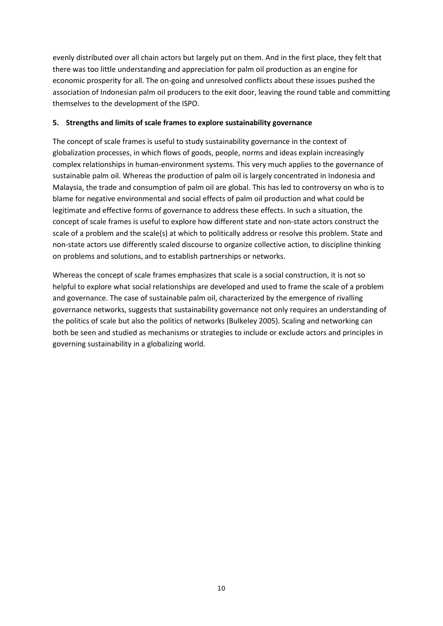evenly distributed over all chain actors but largely put on them. And in the first place, they felt that there was too little understanding and appreciation for palm oil production as an engine for economic prosperity for all. The on-going and unresolved conflicts about these issues pushed the association of Indonesian palm oil producers to the exit door, leaving the round table and committing themselves to the development of the ISPO.

# **5. Strengths and limits of scale frames to explore sustainability governance**

The concept of scale frames is useful to study sustainability governance in the context of globalization processes, in which flows of goods, people, norms and ideas explain increasingly complex relationships in human-environment systems. This very much applies to the governance of sustainable palm oil. Whereas the production of palm oil is largely concentrated in Indonesia and Malaysia, the trade and consumption of palm oil are global. This has led to controversy on who is to blame for negative environmental and social effects of palm oil production and what could be legitimate and effective forms of governance to address these effects. In such a situation, the concept of scale frames is useful to explore how different state and non-state actors construct the scale of a problem and the scale(s) at which to politically address or resolve this problem. State and non-state actors use differently scaled discourse to organize collective action, to discipline thinking on problems and solutions, and to establish partnerships or networks.

Whereas the concept of scale frames emphasizes that scale is a social construction, it is not so helpful to explore what social relationships are developed and used to frame the scale of a problem and governance. The case of sustainable palm oil, characterized by the emergence of rivalling governance networks, suggests that sustainability governance not only requires an understanding of the politics of scale but also the politics of networks (Bulkeley 2005). Scaling and networking can both be seen and studied as mechanisms or strategies to include or exclude actors and principles in governing sustainability in a globalizing world.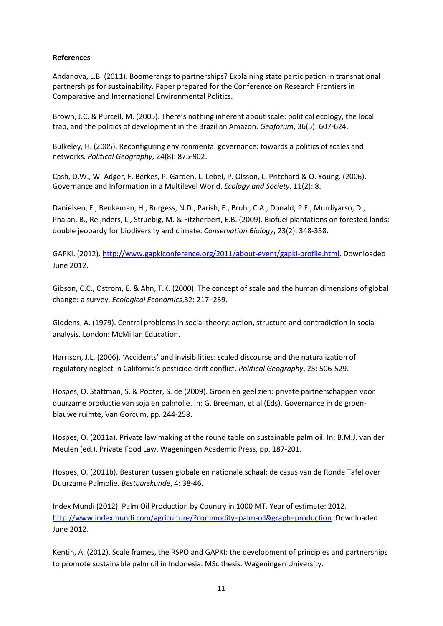## **References**

Andanova, L.B. (2011). Boomerangs to partnerships? Explaining state participation in transnational partnerships for sustainability. Paper prepared for the Conference on Research Frontiers in Comparative and International Environmental Politics.

Brown, J.C. & Purcell, M. (2005). There's nothing inherent about scale: political ecology, the local trap, and the politics of development in the Brazilian Amazon. *Geoforum*, 36(5): 607-624.

Bulkeley, H. (2005). Reconfiguring environmental governance: towards a politics of scales and networks. *Political Geography*, 24(8): 875-902.

Cash, D.W., W. Adger, F. Berkes, P. Garden, L. Lebel, P. Olsson, L. Pritchard & O. Young. (2006). Governance and Information in a Multilevel World. *Ecology and Society*, 11(2): 8.

Danielsen, F., Beukeman, H., Burgess, N.D., Parish, F., Bruhl, C.A., Donald, P.F., Murdiyarso, D., Phalan, B., Reijnders, L., Struebig, M. & Fitzherbert, E.B. (2009). Biofuel plantations on forested lands: double jeopardy for biodiversity and climate. *Conservation Biology*, 23(2): 348-358.

GAPKI. (2012). [http://www.gapkiconference.org/2011/about-event/gapki-profile.html.](http://www.gapkiconference.org/2011/about-event/gapki-profile.html) Downloaded June 2012.

Gibson, C.C., Ostrom, E. & Ahn, T.K. (2000). The concept of scale and the human dimensions of global change: a survey. *Ecological Economics*,32: 217–239.

Giddens, A. (1979). Central problems in social theory: action, structure and contradiction in social analysis. London: McMillan Education.

Harrison, J.L. (2006). 'Accidents' and invisibilities: scaled discourse and the naturalization of regulatory neglect in California's pesticide drift conflict. *Political Geography*, 25: 506-529.

Hospes, O. Stattman, S. & Pooter, S. de (2009). Groen en geel zien: private partnerschappen voor duurzame productie van soja en palmolie. In: G. Breeman, et al (Eds). Governance in de groenblauwe ruimte, Van Gorcum, pp. 244-258.

Hospes, O. (2011a). Private law making at the round table on sustainable palm oil. In: B.M.J. van der Meulen (ed.). Private Food Law. Wageningen Academic Press, pp. 187-201.

Hospes, O. (2011b). Besturen tussen globale en nationale schaal: de casus van de Ronde Tafel over Duurzame Palmolie. *Bestuurskunde*, 4: 38-46.

Index Mundi (2012). Palm Oil Production by Country in 1000 MT. Year of estimate: 2012. [http://www.indexmundi.com/agriculture/?commodity=palm-oil&graph=production.](http://www.indexmundi.com/agriculture/?commodity=palm-oil&graph=production) Downloaded June 2012.

Kentin, A. (2012). Scale frames, the RSPO and GAPKI: the development of principles and partnerships to promote sustainable palm oil in Indonesia. MSc thesis. Wageningen University.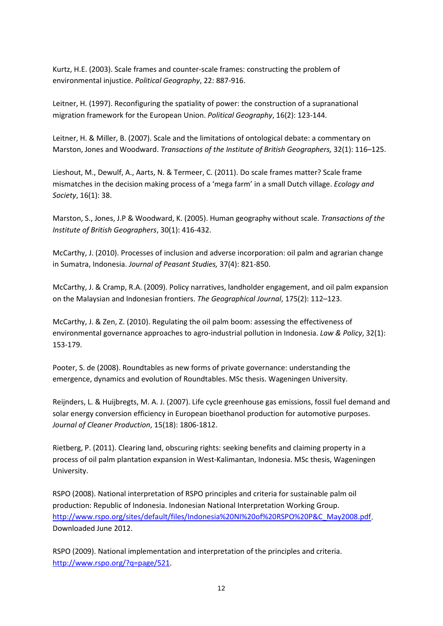Kurtz, H.E. (2003). Scale frames and counter-scale frames: constructing the problem of environmental injustice. *Political Geography*, 22: 887-916.

Leitner, H. (1997). Reconfiguring the spatiality of power: the construction of a supranational migration framework for the European Union. *Political Geography*, 16(2): 123-144.

Leitner, H. & Miller, B. (2007). Scale and the limitations of ontological debate: a commentary on Marston, Jones and Woodward. *Transactions of the Institute of British Geographers,* 32(1): 116–125.

Lieshout, M., Dewulf, A., Aarts, N. & Termeer, C. (2011). Do scale frames matter? Scale frame mismatches in the decision making process of a 'mega farm' in a small Dutch village. *Ecology and Society*, 16(1): 38.

Marston, S., Jones, J.P & Woodward, K. (2005). Human geography without scale. *Transactions of the Institute of British Geographers*, 30(1): 416-432.

McCarthy, J. (2010). Processes of inclusion and adverse incorporation: oil palm and agrarian change in Sumatra, Indonesia. *Journal of Peasant Studies,* 37(4): 821-850.

McCarthy, J. & Cramp, R.A. (2009). Policy narratives, landholder engagement, and oil palm expansion on the Malaysian and Indonesian frontiers. *The Geographical Journal*, 175(2): 112–123.

McCarthy, J. & Zen, Z. (2010). Regulating the oil palm boom: assessing the effectiveness of environmental governance approaches to agro-industrial pollution in Indonesia. *Law & Policy*, 32(1): 153-179.

Pooter, S. de (2008). Roundtables as new forms of private governance: understanding the emergence, dynamics and evolution of Roundtables. MSc thesis. Wageningen University.

Reijnders, L. & Huijbregts, M. A. J. (2007). Life cycle greenhouse gas emissions, fossil fuel demand and solar energy conversion efficiency in European bioethanol production for automotive purposes. *Journal of Cleaner Production*, 15(18): 1806-1812.

Rietberg, P. (2011). Clearing land, obscuring rights: seeking benefits and claiming property in a process of oil palm plantation expansion in West-Kalimantan, Indonesia. MSc thesis, Wageningen University.

RSPO (2008). National interpretation of RSPO principles and criteria for sustainable palm oil production: Republic of Indonesia. Indonesian National Interpretation Working Group. [http://www.rspo.org/sites/default/files/Indonesia%20NI%20of%20RSPO%20P&C\\_May2008.pdf.](http://www.rspo.org/sites/default/files/Indonesia%20NI%20of%20RSPO%20P&C_May2008.pdf) Downloaded June 2012.

RSPO (2009). National implementation and interpretation of the principles and criteria. [http://www.rspo.org/?q=page/521.](http://www.rspo.org/?q=page/521)